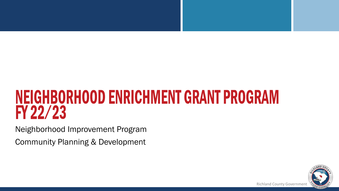#### **NEIGHBORHOOD ENRICHMENT GRANT PROGRAM** FY 22/23

Neighborhood Improvement Program

Community Planning & Development

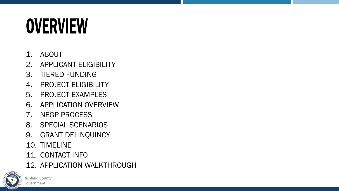#### **OVERVIEW**

- 1. ABOUT
- 2. APPLICANT ELIGIBILITY
- 3. TIERED FUNDING
- 4. PROJECT ELIGIBILITY
- 5. PROJECT EXAMPLES
- 6. APPLICATION OVERVIEW
- 7. NEGP PROCESS
- 8. SPECIAL SCENARIOS
- 9. GRANT DELINQUINCY
- 10. TIMELINE
- 11. CONTACT INFO
- 12. APPLICATION WALKTHROUGH

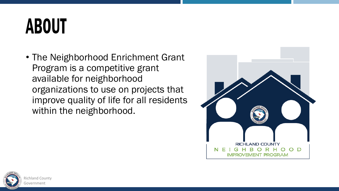#### **ABOUT**

• The Neighborhood Enrichment Grant Program is a competitive grant available for neighborhood organizations to use on projects that improve quality of life for all residents within the neighborhood.



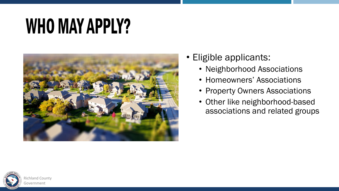#### **WHO MAY APPLY?**



- Eligible applicants:
	- Neighborhood Associations
	- Homeowners' Associations
	- Property Owners Associations
	- Other like neighborhood-based associations and related groups

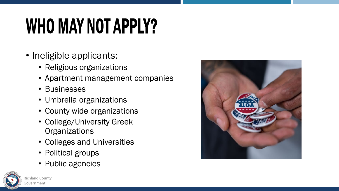### **WHO MAY NOT APPLY?**

- Ineligible applicants:
	- Religious organizations
	- Apartment management companies
	- Businesses
	- Umbrella organizations
	- County wide organizations
	- College/University Greek **Organizations**
	- Colleges and Universities
	- Political groups
	- Public agencies



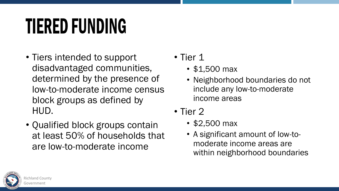#### **TIERED FUNDING**

- Tiers intended to support disadvantaged communities, determined by the presence of low-to-moderate income census block groups as defined by HUD.
- Qualified block groups contain at least 50% of households that are low-to-moderate income
- Tier 1
	- \$1,500 max
	- Neighborhood boundaries do not include any low-to-moderate income areas
- Tier 2
	- \$2,500 max
	- A significant amount of low-tomoderate income areas are within neighborhood boundaries

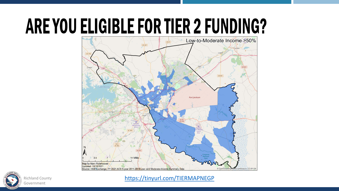#### ARE YOU ELIGIBLE FOR TIER 2 FUNDING?





<https://tinyurl.com/TIERMAPNEGP>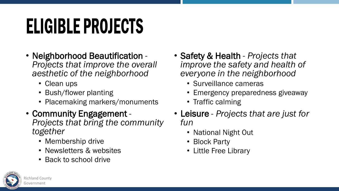#### ELIGIBLE PROJECTS

- Neighborhood Beautification *Projects that improve the overall aesthetic of the neighborhood*
	- Clean ups
	- Bush/flower planting
	- Placemaking markers/monuments
- Community Engagement *Projects that bring the community together*
	- Membership drive
	- Newsletters & websites
	- Back to school drive
- Safety & Health *Projects that improve the safety and health of everyone in the neighborhood*
	- Surveillance cameras
	- Emergency preparedness giveaway
	- Traffic calming
- Leisure *Projects that are just for fun*
	- National Night Out
	- Block Party
	- Little Free Library

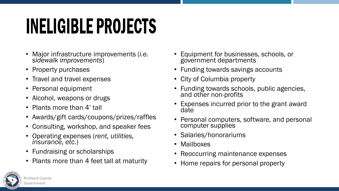#### **INELIGIBLE PROJECTS**

- Major infrastructure improvements (*i.e. sidewalk improvements*)
- Property purchases
- Travel and travel expenses
- Personal equipment
- Alcohol, weapons or drugs
- Plants more than 4' tall
- Awards/gift cards/coupons/prizes/raffles
- Consulting, workshop, and speaker fees
- Operating expenses (*rent, utilities, insurance, etc.*)
- Fundraising or scholarships
- Plants more than 4 feet tall at maturity
- Equipment for businesses, schools, or government departments
- Funding towards savings accounts
- City of Columbia property
- Funding towards schools, public agencies, and other non-profits
- Expenses incurred prior to the grant award date
- Personal computers, software, and personal computer supplies
- Salaries/honorariums
- Mailboxes
- Reoccurring maintenance expenses
- Home repairs for personal property

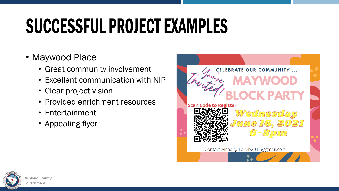### SUCCESSFUL PROJECT EXAMPLES

#### • Maywood Place

- Great community involvement
- Excellent communication with NIP
- Clear project vision
- Provided enrichment resources
- Entertainment
- Appealing flyer



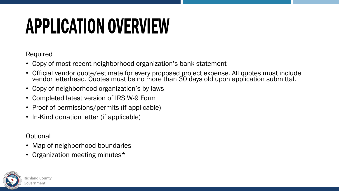#### **APPLICATION OVERVIEW**

Required

- Copy of most recent neighborhood organization's bank statement
- Official vendor quote/estimate for every proposed project expense. All quotes must include vendor letterhead. Quotes must be no more than 30 days old upon application submittal.
- Copy of neighborhood organization's by-laws
- Completed latest version of IRS W-9 Form
- Proof of permissions/permits (if applicable)
- In-Kind donation letter (if applicable)

**Optional** 

- Map of neighborhood boundaries
- Organization meeting minutes\*

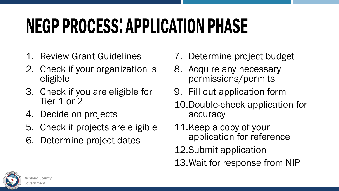### **NEGP PROCESS: APPLICATION PHASE**

- 1. Review Grant Guidelines
- 2. Check if your organization is eligible
- 3. Check if you are eligible for Tier 1 or 2
- 4. Decide on projects
- 5. Check if projects are eligible
- 6. Determine project dates
- 7. Determine project budget
- 8. Acquire any necessary permissions/permits
- 9. Fill out application form
- 10.Double-check application for accuracy
- 11.Keep a copy of your application for reference
- 12.Submit application
- 13.Wait for response from NIP

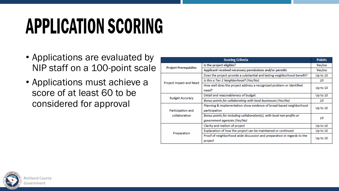### **APPLICATION SCORING**

- Applications are evaluated by NIP staff on a 100-point scale
- Applications must achieve a score of at least 60 to be considered for approval

| <b>Scoring Criteria</b>            |                                                                          | <b>Points</b> |
|------------------------------------|--------------------------------------------------------------------------|---------------|
| <b>Project Prerequisites</b>       | Is the project eligible?                                                 | Yes/no        |
|                                    | Applicant received necessary permissions and/or permits                  | Yes/no        |
| Project Impact and Need            | Does the project provide a substantial and lasting neighborhood benefit? | Up to 10      |
|                                    | Is this a Tier 2 Neighborhood? (Yes/No)                                  | 10            |
|                                    | How well does the project address a recognized problem or identified     | Up to $10$    |
|                                    | need?                                                                    |               |
| <b>Budget Accuracy</b>             | Detail and reasonableness of budget                                      | Up to 10      |
|                                    | Bonus points for collaborating with local businesses (Yes/No)            | 10            |
| Participation and<br>collaboration | Planning & implementation show evidence of broad-based neighborhood      | Up to 10      |
|                                    | participation                                                            |               |
|                                    | Bonus points for including collaboration(s), with local non-profits or   | 10            |
|                                    | government agencies (Yes/No)                                             |               |
| Preparation                        | Clarity and realism of project                                           | Up to 10      |
|                                    | Explanation of how the project can be maintained or continued            | Up to $10$    |
|                                    | Proof of neighborhood wide discussion and preparation in regards to the  | Up to $10$    |
|                                    | project                                                                  |               |

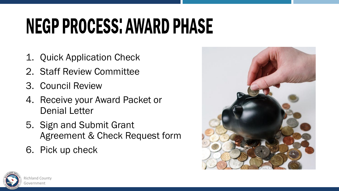### **NEGP PROCESS: AWARD PHASE**

- 1. Quick Application Check
- 2. Staff Review Committee
- 3. Council Review
- 4. Receive your Award Packet or Denial Letter
- 5. Sign and Submit Grant Agreement & Check Request form
- 6. Pick up check



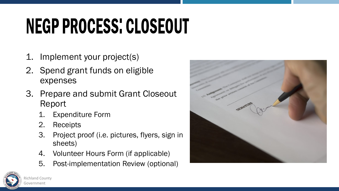## NEGP PROCESS: CLOSEOUT

- 1. Implement your project(s)
- 2. Spend grant funds on eligible expenses
- 3. Prepare and submit Grant Closeout Report
	- **Expenditure Form**
	- 2. Receipts
	- 3. Project proof (i.e. pictures, flyers, sign in sheets)
	- 4. Volunteer Hours Form (if applicable)
	- 5. Post-implementation Review (optional)



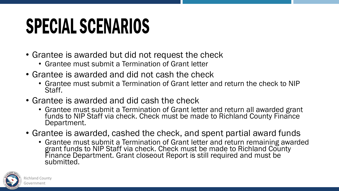#### **SPECIAL SCENARIOS**

- Grantee is awarded but did not request the check
	- Grantee must submit a Termination of Grant letter
- Grantee is awarded and did not cash the check
	- Grantee must submit a Termination of Grant letter and return the check to NIP Staff.
- Grantee is awarded and did cash the check
	- Grantee must submit a Termination of Grant letter and return all awarded grant funds to NIP Staff via check. Check must be made to Richland County Finance Department.
- Grantee is awarded, cashed the check, and spent partial award funds
	- Grantee must submit a Termination of Grant letter and return remaining awarded grant funds to NIP Staff via check. Check must be made to Richland County Finance Department. Grant closeout Report is still required and must be submitted.

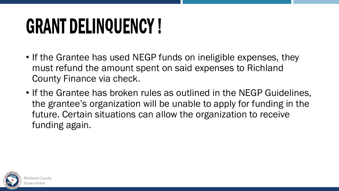#### **GRANT DELINQUENCY!**

- If the Grantee has used NEGP funds on ineligible expenses, they must refund the amount spent on said expenses to Richland County Finance via check.
- If the Grantee has broken rules as outlined in the NEGP Guidelines, the grantee's organization will be unable to apply for funding in the future. Certain situations can allow the organization to receive funding again.

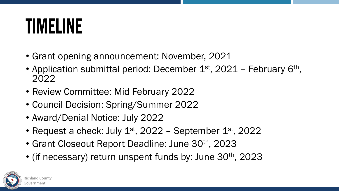#### **TIMELINE**

- Grant opening announcement: November, 2021
- Application submittal period: December  $1<sup>st</sup>$ , 2021 February 6<sup>th</sup>, 2022
- Review Committee: Mid February 2022
- Council Decision: Spring/Summer 2022
- Award/Denial Notice: July 2022
- Request a check: July  $1<sup>st</sup>$ , 2022 September  $1<sup>st</sup>$ , 2022
- Grant Closeout Report Deadline: June 30<sup>th</sup>, 2023
- (if necessary) return unspent funds by: June 30<sup>th</sup>, 2023

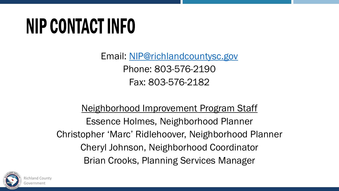#### **NIP CONTACT INFO**

Email: [NIP@richlandcountysc.gov](mailto:NIP@richlandcountysc.gov) Phone: 803-576-2190 Fax: 803-576-2182

Neighborhood Improvement Program Staff Essence Holmes, Neighborhood Planner Christopher 'Marc' Ridlehoover, Neighborhood Planner Cheryl Johnson, Neighborhood Coordinator Brian Crooks, Planning Services Manager